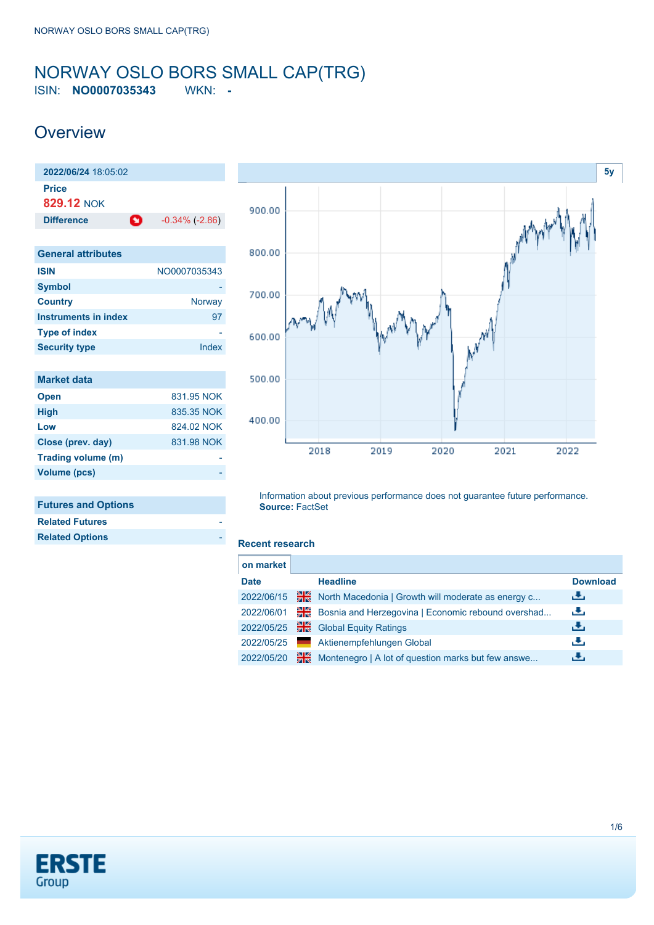### <span id="page-0-0"></span>NORWAY OSLO BORS SMALL CAP(TRG) ISIN: **NO0007035343** WKN: **-**

**Overview** 

| 2022/06/24 18:05:02         |                     |
|-----------------------------|---------------------|
| <b>Price</b>                |                     |
| 829.12 NOK                  |                     |
| O<br><b>Difference</b>      | $-0.34\%$ $(-2.86)$ |
|                             |                     |
| <b>General attributes</b>   |                     |
| <b>ISIN</b>                 | NO0007035343        |
| <b>Symbol</b>               |                     |
| <b>Country</b>              | Norway              |
| <b>Instruments in index</b> | 97                  |
| <b>Type of index</b>        |                     |
| <b>Security type</b>        | Index               |
|                             |                     |
| <b>Market data</b>          |                     |
| <b>Open</b>                 | 831.95 NOK          |
| <b>High</b>                 | 835.35 NOK          |
| Low                         | 824.02 NOK          |
| Close (prev. day)           | 831.98 NOK          |
| Trading volume (m)          |                     |
| <b>Volume (pcs)</b>         |                     |
|                             |                     |
| <b>Futures and Options</b>  |                     |



| <b>Related Futures</b> |  |
|------------------------|--|
| <b>Related Options</b> |  |
|                        |  |

Information about previous performance does not guarantee future performance. **Source:** FactSet

#### **Recent research**

| on market   |    |                                                    |                 |
|-------------|----|----------------------------------------------------|-----------------|
| <b>Date</b> |    | <b>Headline</b>                                    | <b>Download</b> |
| 2022/06/15  | ₩€ | North Macedonia   Growth will moderate as energy c | رنان            |
| 2022/06/01  | ₩€ | Bosnia and Herzegovina   Economic rebound overshad | رنان            |
| 2022/05/25  | 꾉쭍 | <b>Global Equity Ratings</b>                       | رالى            |
| 2022/05/25  |    | Aktienempfehlungen Global                          | æ,              |
| 2022/05/20  | ж  | Montenegro   A lot of question marks but few answe | æ,              |

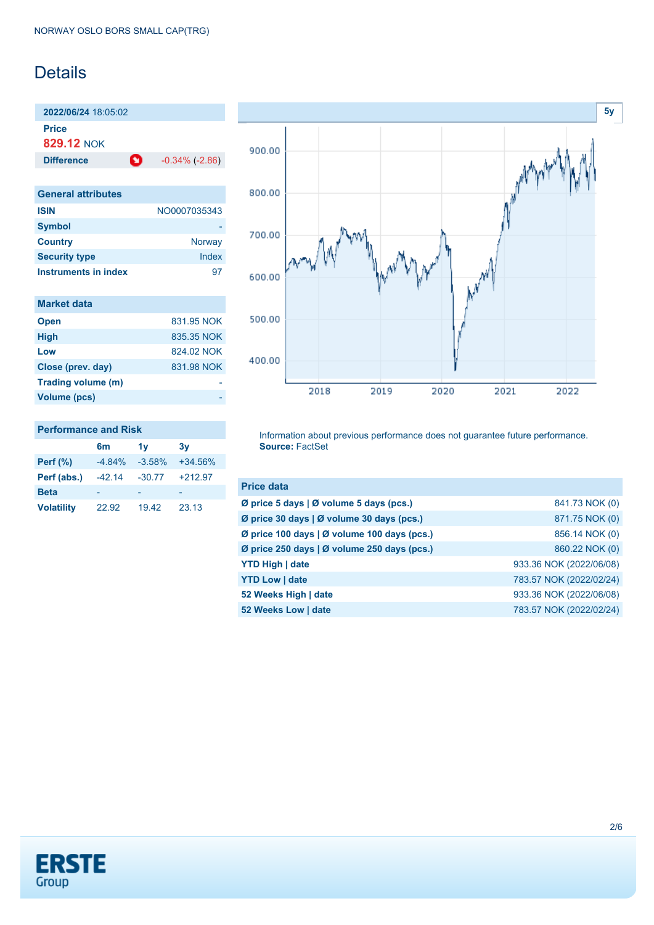## Details

**2022/06/24** 18:05:02 **Price 829.12** NOK

**Difference 1** -0.34% (-2.86)

| <b>General attributes</b>   |              |
|-----------------------------|--------------|
| <b>ISIN</b>                 | NO0007035343 |
| <b>Symbol</b>               |              |
| <b>Country</b>              | Norway       |
| <b>Security type</b>        | Index        |
| <b>Instruments in index</b> | 97           |

| <b>Market data</b> |            |
|--------------------|------------|
| <b>Open</b>        | 831 95 NOK |
| <b>High</b>        | 835.35 NOK |
| Low                | 824.02 NOK |
| Close (prev. day)  | 831.98 NOK |
| Trading volume (m) |            |
| Volume (pcs)       |            |



## **Performance and Risk**

|                   | 6m       | 1v       | 3v        |
|-------------------|----------|----------|-----------|
| <b>Perf</b> (%)   | $-4.84%$ | $-3.58%$ | $+34.56%$ |
| Perf (abs.)       | $-42.14$ | $-30.77$ | $+212.97$ |
| <b>Beta</b>       |          |          |           |
| <b>Volatility</b> | 22.92    | 19.42    | 23.13     |

Information about previous performance does not guarantee future performance. **Source:** FactSet

| <b>Price data</b>                           |                         |
|---------------------------------------------|-------------------------|
| Ø price 5 days   Ø volume 5 days (pcs.)     | 841.73 NOK (0)          |
| Ø price 30 days   Ø volume 30 days (pcs.)   | 871.75 NOK (0)          |
| Ø price 100 days   Ø volume 100 days (pcs.) | 856.14 NOK (0)          |
| Ø price 250 days   Ø volume 250 days (pcs.) | 860.22 NOK (0)          |
| <b>YTD High   date</b>                      | 933.36 NOK (2022/06/08) |
| <b>YTD Low   date</b>                       | 783.57 NOK (2022/02/24) |
| 52 Weeks High   date                        | 933.36 NOK (2022/06/08) |
| 52 Weeks Low   date                         | 783.57 NOK (2022/02/24) |

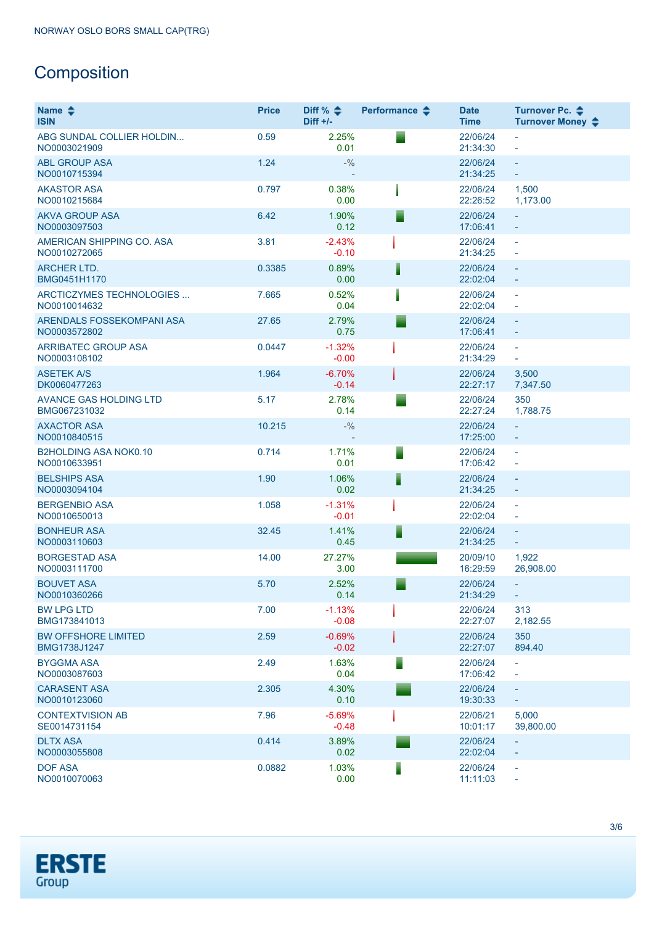# **Composition**

| Name $\triangle$<br><b>ISIN</b>               | <b>Price</b> | Diff % $\div$<br>$Diff +/-$ | Performance $\triangle$ | <b>Date</b><br><b>Time</b> | Turnover Pc. <b>←</b><br>Turnover Money $\div$ |
|-----------------------------------------------|--------------|-----------------------------|-------------------------|----------------------------|------------------------------------------------|
| ABG SUNDAL COLLIER HOLDIN<br>NO0003021909     | 0.59         | 2.25%<br>0.01               |                         | 22/06/24<br>21:34:30       |                                                |
| <b>ABL GROUP ASA</b><br>NO0010715394          | 1.24         | $- \frac{0}{0}$             |                         | 22/06/24<br>21:34:25       | ÷,                                             |
| <b>AKASTOR ASA</b><br>NO0010215684            | 0.797        | 0.38%<br>0.00               |                         | 22/06/24<br>22:26:52       | 1,500<br>1,173.00                              |
| <b>AKVA GROUP ASA</b><br>NO0003097503         | 6.42         | 1.90%<br>0.12               |                         | 22/06/24<br>17:06:41       | ÷,                                             |
| AMERICAN SHIPPING CO. ASA<br>NO0010272065     | 3.81         | $-2.43%$<br>$-0.10$         |                         | 22/06/24<br>21:34:25       | $\blacksquare$                                 |
| <b>ARCHER LTD.</b><br>BMG0451H1170            | 0.3385       | 0.89%<br>0.00               |                         | 22/06/24<br>22:02:04       | $\equiv$                                       |
| ARCTICZYMES TECHNOLOGIES<br>NO0010014632      | 7.665        | 0.52%<br>0.04               |                         | 22/06/24<br>22:02:04       | $\overline{\phantom{a}}$                       |
| ARENDALS FOSSEKOMPANI ASA<br>NO0003572802     | 27.65        | 2.79%<br>0.75               |                         | 22/06/24<br>17:06:41       | $\equiv$<br>٠                                  |
| <b>ARRIBATEC GROUP ASA</b><br>NO0003108102    | 0.0447       | $-1.32%$<br>$-0.00$         |                         | 22/06/24<br>21:34:29       | $\bar{\phantom{a}}$                            |
| <b>ASETEK A/S</b><br>DK0060477263             | 1.964        | $-6.70%$<br>$-0.14$         |                         | 22/06/24<br>22:27:17       | 3,500<br>7,347.50                              |
| <b>AVANCE GAS HOLDING LTD</b><br>BMG067231032 | 5.17         | 2.78%<br>0.14               |                         | 22/06/24<br>22:27:24       | 350<br>1,788.75                                |
| <b>AXACTOR ASA</b><br>NO0010840515            | 10.215       | $- \frac{0}{0}$             |                         | 22/06/24<br>17:25:00       |                                                |
| <b>B2HOLDING ASA NOK0.10</b><br>NO0010633951  | 0.714        | 1.71%<br>0.01               |                         | 22/06/24<br>17:06:42       | ÷,<br>$\overline{\phantom{a}}$                 |
| <b>BELSHIPS ASA</b><br>NO0003094104           | 1.90         | 1.06%<br>0.02               |                         | 22/06/24<br>21:34:25       | ÷<br>÷                                         |
| <b>BERGENBIO ASA</b><br>NO0010650013          | 1.058        | $-1.31%$<br>$-0.01$         |                         | 22/06/24<br>22:02:04       | ÷,<br>÷                                        |
| <b>BONHEUR ASA</b><br>NO0003110603            | 32.45        | 1.41%<br>0.45               |                         | 22/06/24<br>21:34:25       | ÷                                              |
| <b>BORGESTAD ASA</b><br>NO0003111700          | 14.00        | 27.27%<br>3.00              |                         | 20/09/10<br>16:29:59       | 1,922<br>26,908.00                             |
| <b>BOUVET ASA</b><br>NO0010360266             | 5.70         | 2.52%<br>0.14               |                         | 22/06/24<br>21:34:29       | ÷                                              |
| <b>BW LPG LTD</b><br>BMG173841013             | 7.00         | $-1.13%$<br>$-0.08$         |                         | 22/06/24<br>22:27:07       | 313<br>2,182.55                                |
| <b>BW OFFSHORE LIMITED</b><br>BMG1738J1247    | 2.59         | $-0.69%$<br>$-0.02$         |                         | 22/06/24<br>22:27:07       | 350<br>894.40                                  |
| <b>BYGGMA ASA</b><br>NO0003087603             | 2.49         | 1.63%<br>0.04               |                         | 22/06/24<br>17:06:42       | ÷,<br>÷,                                       |
| <b>CARASENT ASA</b><br>NO0010123060           | 2.305        | 4.30%<br>0.10               |                         | 22/06/24<br>19:30:33       | ÷                                              |
| <b>CONTEXTVISION AB</b><br>SE0014731154       | 7.96         | $-5.69%$<br>$-0.48$         |                         | 22/06/21<br>10:01:17       | 5,000<br>39,800.00                             |
| <b>DLTX ASA</b><br>NO0003055808               | 0.414        | 3.89%<br>0.02               |                         | 22/06/24<br>22:02:04       |                                                |
| <b>DOF ASA</b><br>NO0010070063                | 0.0882       | 1.03%<br>0.00               | F                       | 22/06/24<br>11:11:03       |                                                |

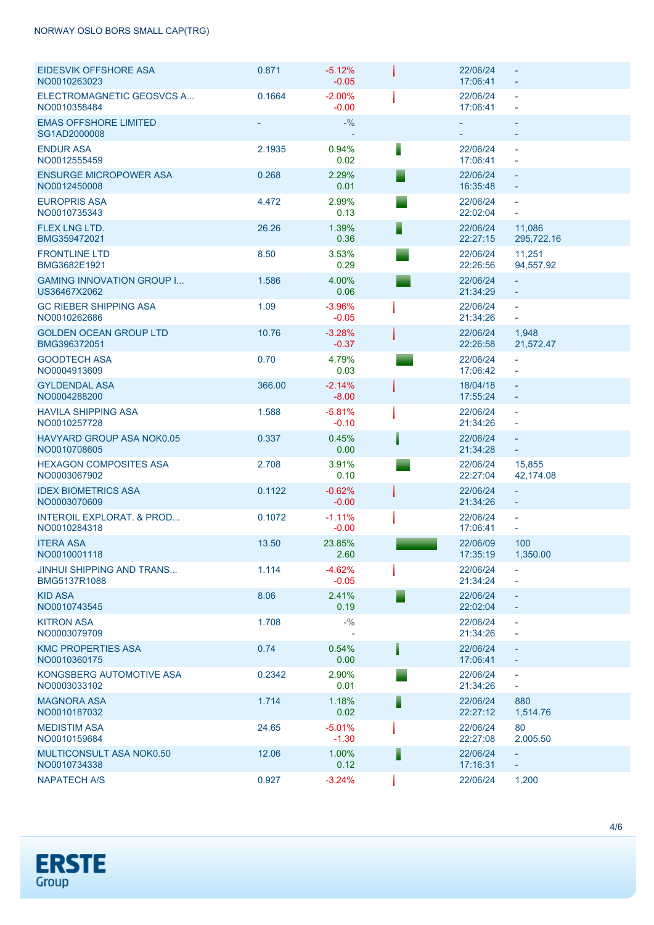### NORWAY OSLO BORS SMALL CAP(TRG)

| EIDESVIK OFFSHORE ASA<br>NO0010263023                | 0.871  | $-5.12%$<br>$-0.05$ | 22/06/24<br>17:06:41 | $\overline{\phantom{a}}$                        |
|------------------------------------------------------|--------|---------------------|----------------------|-------------------------------------------------|
| ELECTROMAGNETIC GEOSVCS A<br>NO0010358484            | 0.1664 | $-2.00%$<br>$-0.00$ | 22/06/24<br>17:06:41 |                                                 |
| <b>EMAS OFFSHORE LIMITED</b><br>SG1AD2000008         |        | $- \frac{0}{0}$     | $\sim$               | $\overline{\phantom{a}}$                        |
| <b>ENDUR ASA</b><br>NO0012555459                     | 2.1935 | 0.94%<br>0.02       | 22/06/24<br>17:06:41 | ÷,                                              |
| <b>ENSURGE MICROPOWER ASA</b><br>NO0012450008        | 0.268  | 2.29%<br>0.01       | 22/06/24<br>16:35:48 | $\equiv$                                        |
| <b>EUROPRIS ASA</b><br>NO0010735343                  | 4.472  | 2.99%<br>0.13       | 22/06/24<br>22:02:04 | $\bar{\phantom{a}}$<br>$\overline{\phantom{a}}$ |
| FLEX LNG LTD.<br>BMG359472021                        | 26.26  | 1.39%<br>0.36       | 22/06/24<br>22:27:15 | 11,086<br>295,722.16                            |
| <b>FRONTLINE LTD</b><br>BMG3682E1921                 | 8.50   | 3.53%<br>0.29       | 22/06/24<br>22:26:56 | 11,251<br>94,557.92                             |
| <b>GAMING INNOVATION GROUP I</b><br>US36467X2062     | 1.586  | 4.00%<br>0.06       | 22/06/24<br>21:34:29 | ÷.<br>÷                                         |
| <b>GC RIEBER SHIPPING ASA</b><br>NO0010262686        | 1.09   | $-3.96%$<br>$-0.05$ | 22/06/24<br>21:34:26 | $\bar{\phantom{a}}$<br>$\equiv$                 |
| <b>GOLDEN OCEAN GROUP LTD</b><br>BMG396372051        | 10.76  | $-3.28%$<br>$-0.37$ | 22/06/24<br>22:26:58 | 1,948<br>21,572.47                              |
| <b>GOODTECH ASA</b><br>NO0004913609                  | 0.70   | 4.79%<br>0.03       | 22/06/24<br>17:06:42 | $\blacksquare$                                  |
| <b>GYLDENDAL ASA</b><br>NO0004288200                 | 366.00 | $-2.14%$<br>$-8.00$ | 18/04/18<br>17:55:24 | $\blacksquare$<br>$\blacksquare$                |
| <b>HAVILA SHIPPING ASA</b><br>NO0010257728           | 1.588  | $-5.81%$<br>$-0.10$ | 22/06/24<br>21:34:26 | $\bar{\phantom{a}}$<br>÷,                       |
| HAVYARD GROUP ASA NOK0.05<br>NO0010708605            | 0.337  | 0.45%<br>0.00       | 22/06/24<br>21:34:28 | $\equiv$<br>$\blacksquare$                      |
| <b>HEXAGON COMPOSITES ASA</b><br>NO0003067902        | 2.708  | 3.91%<br>0.10       | 22/06/24<br>22:27:04 | 15,855<br>42,174.08                             |
| <b>IDEX BIOMETRICS ASA</b><br>NO0003070609           | 0.1122 | $-0.62%$<br>$-0.00$ | 22/06/24<br>21:34:26 | $\omega$<br>÷                                   |
| <b>INTEROIL EXPLORAT, &amp; PROD</b><br>NO0010284318 | 0.1072 | $-1.11%$<br>$-0.00$ | 22/06/24<br>17:06:41 | $\overline{\phantom{a}}$<br>$\blacksquare$      |
| <b>ITERA ASA</b><br>NO0010001118                     | 13.50  | 23.85%<br>2.60      | 22/06/09<br>17:35:19 | 100<br>1,350.00                                 |
| <b>JINHUI SHIPPING AND TRANS</b><br>BMG5137R1088     | 1.114  | $-4.62%$<br>$-0.05$ | 22/06/24<br>21:34:24 |                                                 |
| <b>KID ASA</b><br>NO0010743545                       | 8.06   | 2.41%<br>0.19       | 22/06/24<br>22:02:04 | $\overline{\phantom{a}}$                        |
| <b>KITRON ASA</b><br>NO0003079709                    | 1.708  | $- \frac{0}{0}$     | 22/06/24<br>21:34:26 | ÷,                                              |
| <b>KMC PROPERTIES ASA</b><br>NO0010360175            | 0.74   | 0.54%<br>0.00       | 22/06/24<br>17:06:41 | $\overline{\phantom{a}}$                        |
| KONGSBERG AUTOMOTIVE ASA<br>NO0003033102             | 0.2342 | 2.90%<br>0.01       | 22/06/24<br>21:34:26 | $\blacksquare$                                  |
| <b>MAGNORA ASA</b><br>NO0010187032                   | 1.714  | 1.18%<br>0.02       | 22/06/24<br>22:27:12 | 880<br>1,514.76                                 |
| <b>MEDISTIM ASA</b><br>NO0010159684                  | 24.65  | $-5.01%$<br>$-1.30$ | 22/06/24<br>22:27:08 | 80<br>2,005.50                                  |
| MULTICONSULT ASA NOK0.50<br>NO0010734338             | 12.06  | 1.00%<br>0.12       | 22/06/24<br>17:16:31 |                                                 |
| <b>NAPATECH A/S</b>                                  | 0.927  | $-3.24%$            | 22/06/24             | 1,200                                           |

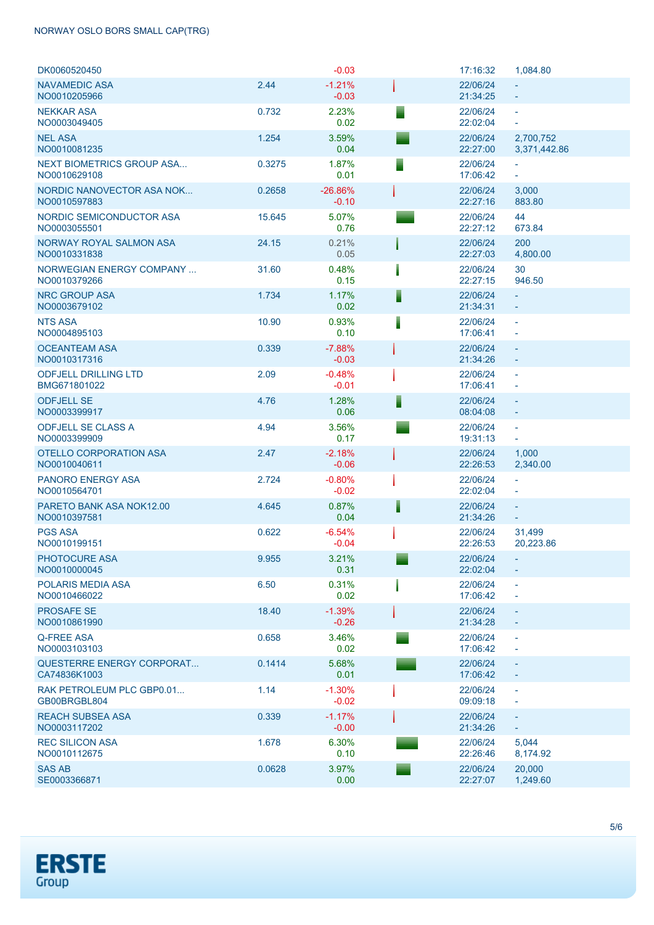### NORWAY OSLO BORS SMALL CAP(TRG)

| DK0060520450                                     |        | $-0.03$              |   | 17:16:32             | 1,084.80                  |
|--------------------------------------------------|--------|----------------------|---|----------------------|---------------------------|
| <b>NAVAMEDIC ASA</b><br>NO0010205966             | 2.44   | $-1.21%$<br>$-0.03$  |   | 22/06/24<br>21:34:25 | ÷,                        |
| <b>NEKKAR ASA</b><br>NO0003049405                | 0.732  | 2.23%<br>0.02        |   | 22/06/24<br>22:02:04 | L,<br>L,                  |
| <b>NEL ASA</b><br>NO0010081235                   | 1.254  | 3.59%<br>0.04        |   | 22/06/24<br>22:27:00 | 2,700,752<br>3,371,442.86 |
| <b>NEXT BIOMETRICS GROUP ASA</b><br>NO0010629108 | 0.3275 | 1.87%<br>0.01        |   | 22/06/24<br>17:06:42 | $\overline{\phantom{a}}$  |
| NORDIC NANOVECTOR ASA NOK<br>NO0010597883        | 0.2658 | $-26.86%$<br>$-0.10$ |   | 22/06/24<br>22:27:16 | 3,000<br>883.80           |
| NORDIC SEMICONDUCTOR ASA<br>NO0003055501         | 15.645 | 5.07%<br>0.76        |   | 22/06/24<br>22:27:12 | 44<br>673.84              |
| NORWAY ROYAL SALMON ASA<br>NO0010331838          | 24.15  | 0.21%<br>0.05        |   | 22/06/24<br>22:27:03 | 200<br>4,800.00           |
| <b>NORWEGIAN ENERGY COMPANY </b><br>NO0010379266 | 31.60  | 0.48%<br>0.15        |   | 22/06/24<br>22:27:15 | 30<br>946.50              |
| <b>NRC GROUP ASA</b><br>NO0003679102             | 1.734  | 1.17%<br>0.02        | I | 22/06/24<br>21:34:31 | ÷,                        |
| <b>NTS ASA</b><br>NO0004895103                   | 10.90  | 0.93%<br>0.10        |   | 22/06/24<br>17:06:41 | $\blacksquare$            |
| <b>OCEANTEAM ASA</b><br>NO0010317316             | 0.339  | $-7.88%$<br>$-0.03$  |   | 22/06/24<br>21:34:26 | ÷                         |
| <b>ODFJELL DRILLING LTD</b><br>BMG671801022      | 2.09   | $-0.48%$<br>$-0.01$  |   | 22/06/24<br>17:06:41 | L,<br>$\blacksquare$      |
| <b>ODFJELL SE</b><br>NO0003399917                | 4.76   | 1.28%<br>0.06        | F | 22/06/24<br>08:04:08 | ÷                         |
| <b>ODFJELL SE CLASS A</b><br>NO0003399909        | 4.94   | 3.56%<br>0.17        |   | 22/06/24<br>19:31:13 | ÷,<br>$\blacksquare$      |
| OTELLO CORPORATION ASA<br>NO0010040611           | 2.47   | $-2.18%$<br>$-0.06$  |   | 22/06/24<br>22:26:53 | 1,000<br>2,340.00         |
| <b>PANORO ENERGY ASA</b><br>NO0010564701         | 2.724  | $-0.80%$<br>$-0.02$  |   | 22/06/24<br>22:02:04 | L,<br>$\blacksquare$      |
| PARETO BANK ASA NOK12.00<br>NO0010397581         | 4.645  | 0.87%<br>0.04        |   | 22/06/24<br>21:34:26 | ÷                         |
| <b>PGS ASA</b><br>NO0010199151                   | 0.622  | $-6.54%$<br>$-0.04$  |   | 22/06/24<br>22:26:53 | 31,499<br>20,223.86       |
| <b>PHOTOCURE ASA</b><br>NO0010000045             | 9.955  | 3.21%<br>0.31        |   | 22/06/24<br>22:02:04 |                           |
| <b>POLARIS MEDIA ASA</b><br>NO0010466022         | 6.50   | 0.31%<br>0.02        |   | 22/06/24<br>17:06:42 | $\blacksquare$            |
| <b>PROSAFE SE</b><br>NO0010861990                | 18.40  | $-1.39%$<br>$-0.26$  |   | 22/06/24<br>21:34:28 | ÷                         |
| <b>Q-FREE ASA</b><br>NO0003103103                | 0.658  | 3.46%<br>0.02        |   | 22/06/24<br>17:06:42 | $\blacksquare$<br>ä,      |
| QUESTERRE ENERGY CORPORAT<br>CA74836K1003        | 0.1414 | 5.68%<br>0.01        |   | 22/06/24<br>17:06:42 | ÷,                        |
| RAK PETROLEUM PLC GBP0.01<br>GB00BRGBL804        | 1.14   | $-1.30%$<br>$-0.02$  |   | 22/06/24<br>09:09:18 | ä,                        |
| <b>REACH SUBSEA ASA</b><br>NO0003117202          | 0.339  | $-1.17%$<br>$-0.00$  |   | 22/06/24<br>21:34:26 |                           |
| <b>REC SILICON ASA</b><br>NO0010112675           | 1.678  | 6.30%<br>0.10        |   | 22/06/24<br>22:26:46 | 5,044<br>8,174.92         |
| <b>SAS AB</b><br>SE0003366871                    | 0.0628 | 3.97%<br>0.00        |   | 22/06/24<br>22:27:07 | 20,000<br>1,249.60        |